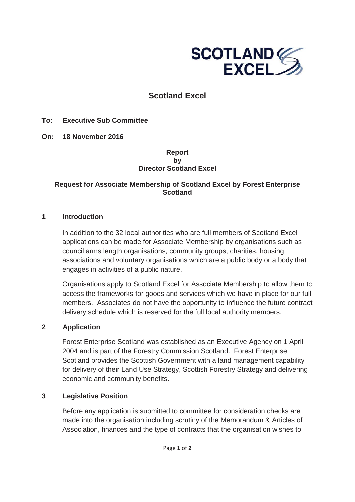

# **Scotland Excel**

#### **To: Executive Sub Committee**

**On: 18 November 2016** 

#### **Report by Director Scotland Excel**

## **Request for Associate Membership of Scotland Excel by Forest Enterprise Scotland**

#### **1 Introduction**

In addition to the 32 local authorities who are full members of Scotland Excel applications can be made for Associate Membership by organisations such as council arms length organisations, community groups, charities, housing associations and voluntary organisations which are a public body or a body that engages in activities of a public nature.

Organisations apply to Scotland Excel for Associate Membership to allow them to access the frameworks for goods and services which we have in place for our full members. Associates do not have the opportunity to influence the future contract delivery schedule which is reserved for the full local authority members.

### **2 Application**

Forest Enterprise Scotland was established as an Executive Agency on 1 April 2004 and is part of the Forestry Commission Scotland. Forest Enterprise Scotland provides the Scottish Government with a land management capability for delivery of their Land Use Strategy, Scottish Forestry Strategy and delivering economic and community benefits.

#### **3 Legislative Position**

Before any application is submitted to committee for consideration checks are made into the organisation including scrutiny of the Memorandum & Articles of Association, finances and the type of contracts that the organisation wishes to